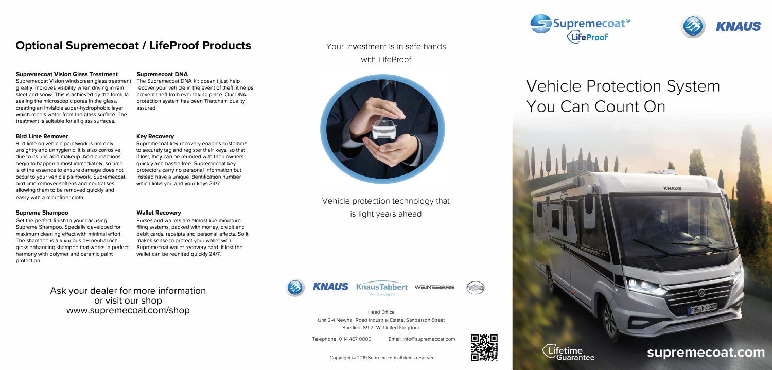## **Optional Supremecoat / LifeProof Products**

### **Supremecoat Vision Glass Treatment**

Supremecoat Vision windscreen glass treatment greatly improves visibility when driving in rain, sleet and snow. This is achieved by the formula sealing the microscopic pores in the glass, creating an invisible super-hydrophobic layer which repels water from the glass surface. The treatment is suitable for all glass surfaces.

#### **Bird Lime Remover**

Bird lime on vehicle paintwork is not only unsightly and unhygienic, it is also corrosive due to its uric acid makeup. Acidic reactions begin to happen almost immediately, so time is of the essence to ensure damage does not occur to your vehicle paintwork. Supremecoat bird lime remover softens and neutralises, allowing them to be removed quickly and easily with a microfiber cloth.

#### **Supreme Shampoo**

Get the perfect finish to your car using Supreme Shampoo. Specially developed for maximum cleaning effect with minimal effort. The shampoo is a luxurious pH neutral rich gloss enhancing shampoo that works in perfect harmony with polymer and ceramic paint protection.

### **Supremecoat DNA**

The Supremecoat DNA kit doesn't just help recover your vehicle in the event of theft, it helps prevent theft from ever taking place. Our DNA protection system has been Thatcham quality assured.

#### **Key Recovery**

Supremecoat key recovery enables customers to securely tag and register their keys, so that if lost, they can be reunited with their owners quickly and hassle free. Supremecoat key protectors carry no personal information but instead have a unique identification number which links you and your keys 24/7.

#### **Wallet Recovery**

Purses and wallets are almost like miniature filing systems, packed with money, credit and debit cards, receipts and personal effects. So it makes sense to protect your wallet with Supremecoat wallet recovery card, if lost the wallet can be reunited quickly 24/7.

**Ask your dealer for more information or visit our shop www.supremecoat.com/shop** 

### Your investment is in safe hands with LifeProof



Vehicle protection technology that is light years ahead







Telephone: 0114 467 0800 Email: info@supremecoat.com

Copyright© 2019 Supremecoat all rights reserved



 $(n \odot n)$ 





# **Vehicle Protection System You Can Count On**





## supremecoat.com